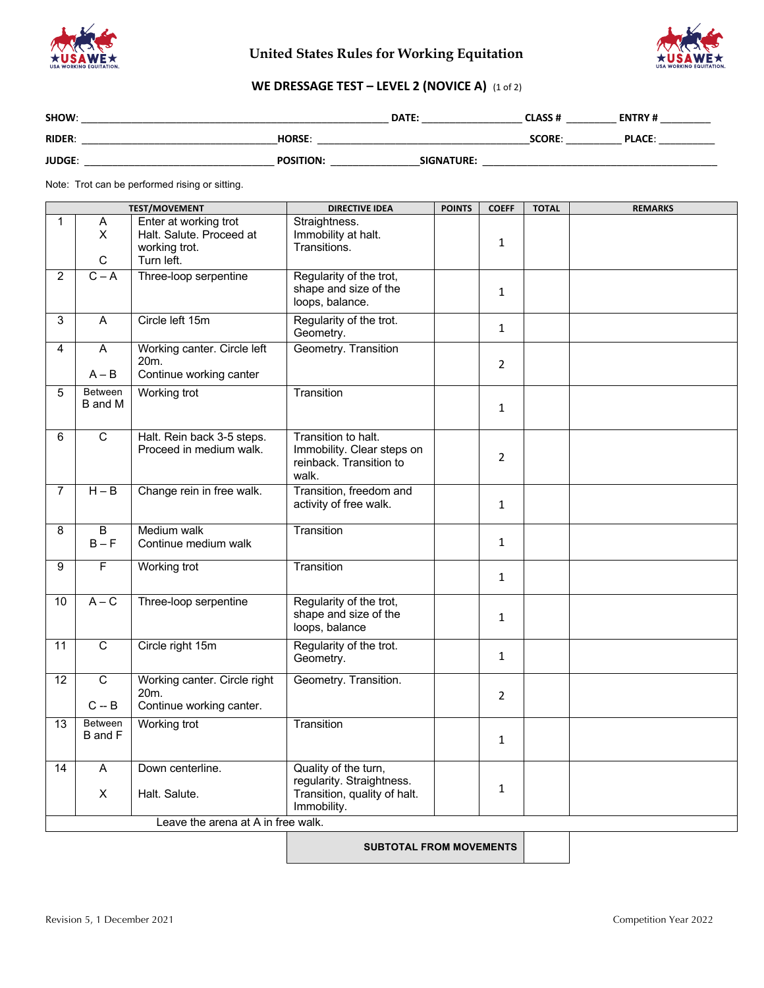

## **United States Rules for Working Equitation**



## **WE DRESSAGE TEST – LEVEL 2 (NOVICE A)** (1 of 2)

| SHOW:         |                  | DATE:             | <b>CLASS#</b> | <b>ENTRY#</b> |
|---------------|------------------|-------------------|---------------|---------------|
| <b>RIDER:</b> | <b>HORSE:</b>    |                   | <b>SCORE:</b> | <b>PLACE:</b> |
| <b>JUDGE:</b> | <b>POSITION:</b> | <b>SIGNATURE:</b> |               |               |

Note: Trot can be performed rising or sitting.

|                 |                                    | <b>TEST/MOVEMENT</b>                                                             | <b>DIRECTIVE IDEA</b>                                                                            | <b>POINTS</b> | <b>COEFF</b>   | <b>TOTAL</b> | <b>REMARKS</b> |
|-----------------|------------------------------------|----------------------------------------------------------------------------------|--------------------------------------------------------------------------------------------------|---------------|----------------|--------------|----------------|
| 1               | A<br>$\mathsf{x}$<br>$\mathsf C$   | Enter at working trot<br>Halt. Salute. Proceed at<br>working trot.<br>Turn left. | Straightness.<br>Immobility at halt.<br>Transitions.                                             |               | $\mathbf{1}$   |              |                |
| $\overline{2}$  | $C - A$                            | Three-loop serpentine                                                            | Regularity of the trot,<br>shape and size of the<br>loops, balance.                              |               | $\mathbf{1}$   |              |                |
| 3               | Α                                  | Circle left 15m                                                                  | Regularity of the trot.<br>Geometry.                                                             |               | $\mathbf{1}$   |              |                |
| 4               | A<br>$A - B$                       | Working canter. Circle left<br>20m.<br>Continue working canter                   | Geometry. Transition                                                                             |               | $\overline{2}$ |              |                |
| $\overline{5}$  | <b>Between</b><br>B and M          | Working trot                                                                     | Transition                                                                                       |               | $\mathbf{1}$   |              |                |
| 6               | $\overline{c}$                     | Halt. Rein back 3-5 steps.<br>Proceed in medium walk.                            | Transition to halt.<br>Immobility. Clear steps on<br>reinback. Transition to<br>walk.            |               | $\overline{2}$ |              |                |
| $\overline{7}$  | $H - B$                            | Change rein in free walk.                                                        | Transition, freedom and<br>activity of free walk.                                                |               | $\mathbf{1}$   |              |                |
| 8               | $\overline{B}$<br>$B - F$          | Medium walk<br>Continue medium walk                                              | Transition                                                                                       |               | $\mathbf{1}$   |              |                |
| 9               | F                                  | Working trot                                                                     | Transition                                                                                       |               | $\mathbf{1}$   |              |                |
| 10              | $A - C$                            | Three-loop serpentine                                                            | Regularity of the trot,<br>shape and size of the<br>loops, balance                               |               | $\mathbf{1}$   |              |                |
| $\overline{11}$ | $\overline{c}$                     | Circle right 15m                                                                 | Regularity of the trot.<br>Geometry.                                                             |               | $\mathbf{1}$   |              |                |
| $\overline{12}$ | $\overline{\mathsf{C}}$<br>$C - B$ | Working canter. Circle right<br>20 <sub>m</sub><br>Continue working canter.      | Geometry. Transition.                                                                            |               | $\overline{2}$ |              |                |
| $\overline{13}$ | Between<br>B and F                 | Working trot                                                                     | Transition                                                                                       |               | $\mathbf{1}$   |              |                |
| $\overline{14}$ | A<br>Χ                             | Down centerline.<br>Halt. Salute.                                                | Quality of the turn,<br>regularity. Straightness.<br>Transition, quality of halt.<br>Immobility. |               | $\mathbf{1}$   |              |                |
|                 |                                    | Leave the arena at A in free walk.                                               |                                                                                                  |               |                |              |                |

**SUBTOTAL FROM MOVEMENTS**